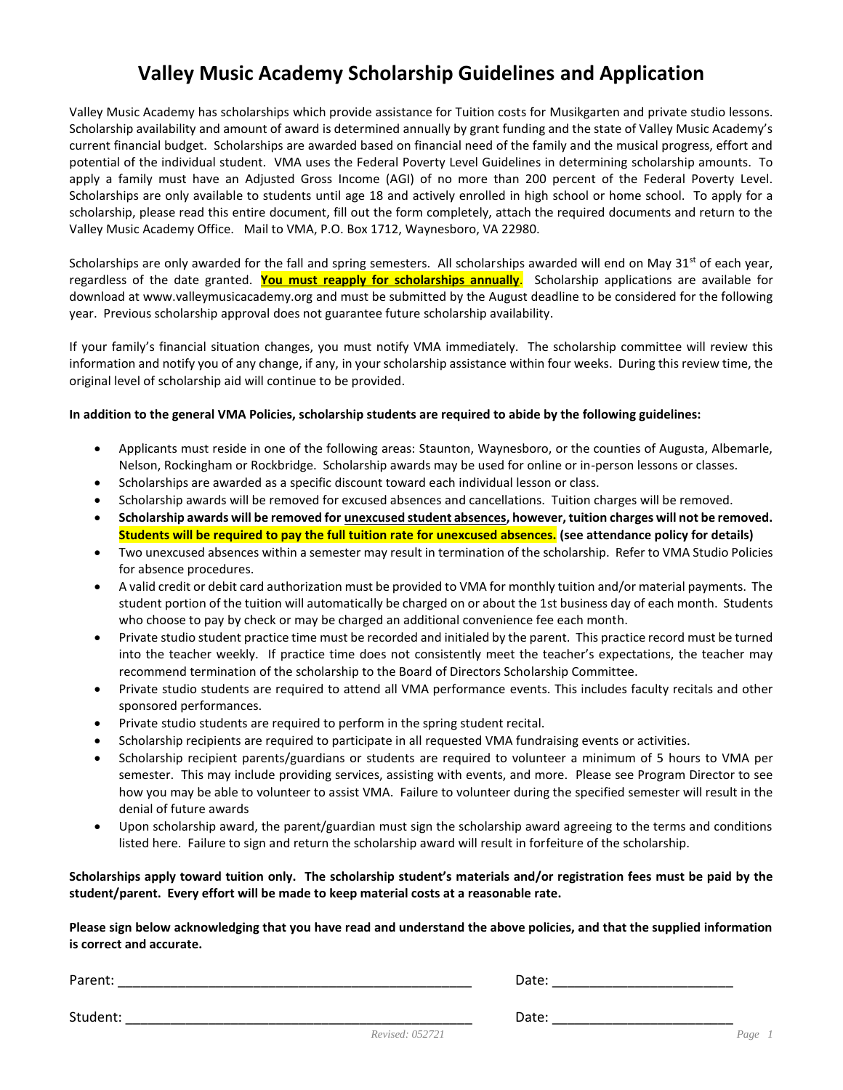# **Valley Music Academy Scholarship Guidelines and Application**

Valley Music Academy has scholarships which provide assistance for Tuition costs for Musikgarten and private studio lessons. Scholarship availability and amount of award is determined annually by grant funding and the state of Valley Music Academy's current financial budget. Scholarships are awarded based on financial need of the family and the musical progress, effort and potential of the individual student. VMA uses the Federal Poverty Level Guidelines in determining scholarship amounts. To apply a family must have an Adjusted Gross Income (AGI) of no more than 200 percent of the Federal Poverty Level. Scholarships are only available to students until age 18 and actively enrolled in high school or home school. To apply for a scholarship, please read this entire document, fill out the form completely, attach the required documents and return to the Valley Music Academy Office. Mail to VMA, P.O. Box 1712, Waynesboro, VA 22980.

Scholarships are only awarded for the fall and spring semesters. All scholarships awarded will end on May 31<sup>st</sup> of each year, regardless of the date granted. **You must reapply for scholarships annually**. Scholarship applications are available for download at [www.valleymusicacademy.org](http://www.valleymusicacademy.org/) and must be submitted by the August deadline to be considered for the following year. Previous scholarship approval does not guarantee future scholarship availability.

If your family's financial situation changes, you must notify VMA immediately. The scholarship committee will review this information and notify you of any change, if any, in your scholarship assistance within four weeks. During this review time, the original level of scholarship aid will continue to be provided.

#### **In addition to the general VMA Policies, scholarship students are required to abide by the following guidelines:**

- Applicants must reside in one of the following areas: Staunton, Waynesboro, or the counties of Augusta, Albemarle, Nelson, Rockingham or Rockbridge. Scholarship awards may be used for online or in-person lessons or classes.
- Scholarships are awarded as a specific discount toward each individual lesson or class.
- Scholarship awards will be removed for excused absences and cancellations. Tuition charges will be removed.
- **Scholarship awards will be removed for unexcused student absences, however, tuition charges will not be removed. Students will be required to pay the full tuition rate for unexcused absences. (see attendance policy for details)**
- Two unexcused absences within a semester may result in termination of the scholarship. Refer to VMA Studio Policies for absence procedures.
- A valid credit or debit card authorization must be provided to VMA for monthly tuition and/or material payments. The student portion of the tuition will automatically be charged on or about the 1st business day of each month. Students who choose to pay by check or may be charged an additional convenience fee each month.
- Private studio student practice time must be recorded and initialed by the parent. This practice record must be turned into the teacher weekly. If practice time does not consistently meet the teacher's expectations, the teacher may recommend termination of the scholarship to the Board of Directors Scholarship Committee.
- Private studio students are required to attend all VMA performance events. This includes faculty recitals and other sponsored performances.
- Private studio students are required to perform in the spring student recital.
- Scholarship recipients are required to participate in all requested VMA fundraising events or activities.
- Scholarship recipient parents/guardians or students are required to volunteer a minimum of 5 hours to VMA per semester. This may include providing services, assisting with events, and more. Please see Program Director to see how you may be able to volunteer to assist VMA. Failure to volunteer during the specified semester will result in the denial of future awards
- Upon scholarship award, the parent/guardian must sign the scholarship award agreeing to the terms and conditions listed here. Failure to sign and return the scholarship award will result in forfeiture of the scholarship.

#### **Scholarships apply toward tuition only. The scholarship student's materials and/or registration fees must be paid by the student/parent. Every effort will be made to keep material costs at a reasonable rate.**

**Please sign below acknowledging that you have read and understand the above policies, and that the supplied information is correct and accurate.**

Parent: \_\_\_\_\_\_\_\_\_\_\_\_\_\_\_\_\_\_\_\_\_\_\_\_\_\_\_\_\_\_\_\_\_\_\_\_\_\_\_\_\_\_\_\_\_\_\_ Date: \_\_\_\_\_\_\_\_\_\_\_\_\_\_\_\_\_\_\_\_\_\_\_\_

 $Date:$ 

| Student: |
|----------|
|          |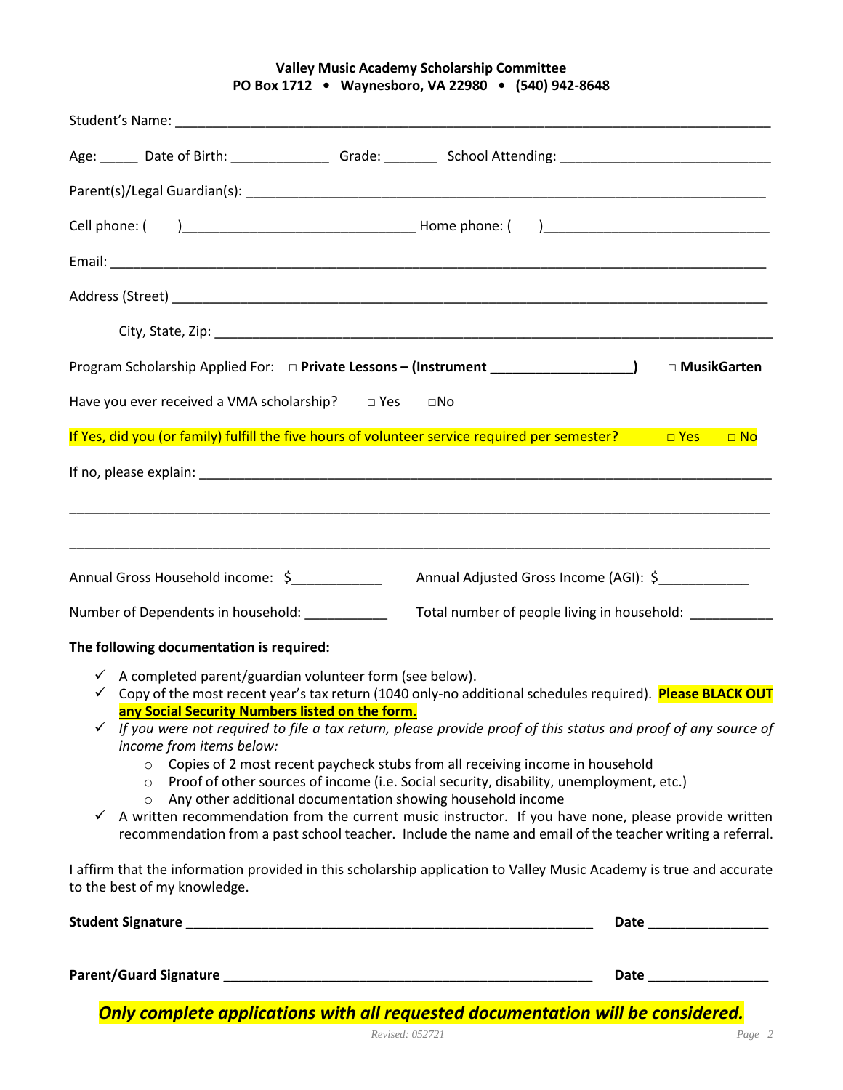### **Valley Music Academy Scholarship Committee PO Box 1712 • Waynesboro, VA 22980 • (540) 942-8648**

| Age: ______ Date of Birth: _______________ Grade: ________ School Attending: _________________________________                                                                                                                                                                                                                                                                                                                                                                                                                                                                                                                                                                                                                             |                                                                                                                                                                                                                                                                                                                              |
|--------------------------------------------------------------------------------------------------------------------------------------------------------------------------------------------------------------------------------------------------------------------------------------------------------------------------------------------------------------------------------------------------------------------------------------------------------------------------------------------------------------------------------------------------------------------------------------------------------------------------------------------------------------------------------------------------------------------------------------------|------------------------------------------------------------------------------------------------------------------------------------------------------------------------------------------------------------------------------------------------------------------------------------------------------------------------------|
|                                                                                                                                                                                                                                                                                                                                                                                                                                                                                                                                                                                                                                                                                                                                            |                                                                                                                                                                                                                                                                                                                              |
|                                                                                                                                                                                                                                                                                                                                                                                                                                                                                                                                                                                                                                                                                                                                            |                                                                                                                                                                                                                                                                                                                              |
|                                                                                                                                                                                                                                                                                                                                                                                                                                                                                                                                                                                                                                                                                                                                            |                                                                                                                                                                                                                                                                                                                              |
|                                                                                                                                                                                                                                                                                                                                                                                                                                                                                                                                                                                                                                                                                                                                            |                                                                                                                                                                                                                                                                                                                              |
|                                                                                                                                                                                                                                                                                                                                                                                                                                                                                                                                                                                                                                                                                                                                            |                                                                                                                                                                                                                                                                                                                              |
| Program Scholarship Applied For: □ Private Lessons - (Instrument _____________________)                                                                                                                                                                                                                                                                                                                                                                                                                                                                                                                                                                                                                                                    | □ MusikGarten                                                                                                                                                                                                                                                                                                                |
| Have you ever received a VMA scholarship? $\Box$ Yes<br>$\square$ No                                                                                                                                                                                                                                                                                                                                                                                                                                                                                                                                                                                                                                                                       |                                                                                                                                                                                                                                                                                                                              |
| If Yes, did you (or family) fulfill the five hours of volunteer service required per semester?                                                                                                                                                                                                                                                                                                                                                                                                                                                                                                                                                                                                                                             | □ Yes<br>$\Box$ No                                                                                                                                                                                                                                                                                                           |
|                                                                                                                                                                                                                                                                                                                                                                                                                                                                                                                                                                                                                                                                                                                                            |                                                                                                                                                                                                                                                                                                                              |
|                                                                                                                                                                                                                                                                                                                                                                                                                                                                                                                                                                                                                                                                                                                                            |                                                                                                                                                                                                                                                                                                                              |
| Annual Gross Household income: \$                                                                                                                                                                                                                                                                                                                                                                                                                                                                                                                                                                                                                                                                                                          | Annual Adjusted Gross Income (AGI): \$                                                                                                                                                                                                                                                                                       |
| Number of Dependents in household: __________                                                                                                                                                                                                                                                                                                                                                                                                                                                                                                                                                                                                                                                                                              | Total number of people living in household: __________                                                                                                                                                                                                                                                                       |
| The following documentation is required:<br>$\checkmark$ A completed parent/guardian volunteer form (see below).<br>✓<br>any Social Security Numbers listed on the form.<br>$\checkmark$ If you were not required to file a tax return, please provide proof of this status and proof of any source of<br>income from items below:<br>o Copies of 2 most recent paycheck stubs from all receiving income in household<br>o Proof of other sources of income (i.e. Social security, disability, unemployment, etc.)<br>o Any other additional documentation showing household income<br>I affirm that the information provided in this scholarship application to Valley Music Academy is true and accurate<br>to the best of my knowledge. | Copy of the most recent year's tax return (1040 only-no additional schedules required). Please BLACK OUT<br>A written recommendation from the current music instructor. If you have none, please provide written<br>recommendation from a past school teacher. Include the name and email of the teacher writing a referral. |
|                                                                                                                                                                                                                                                                                                                                                                                                                                                                                                                                                                                                                                                                                                                                            |                                                                                                                                                                                                                                                                                                                              |
|                                                                                                                                                                                                                                                                                                                                                                                                                                                                                                                                                                                                                                                                                                                                            | Date <b>Date</b>                                                                                                                                                                                                                                                                                                             |

*Only complete applications with all requested documentation will be considered.*